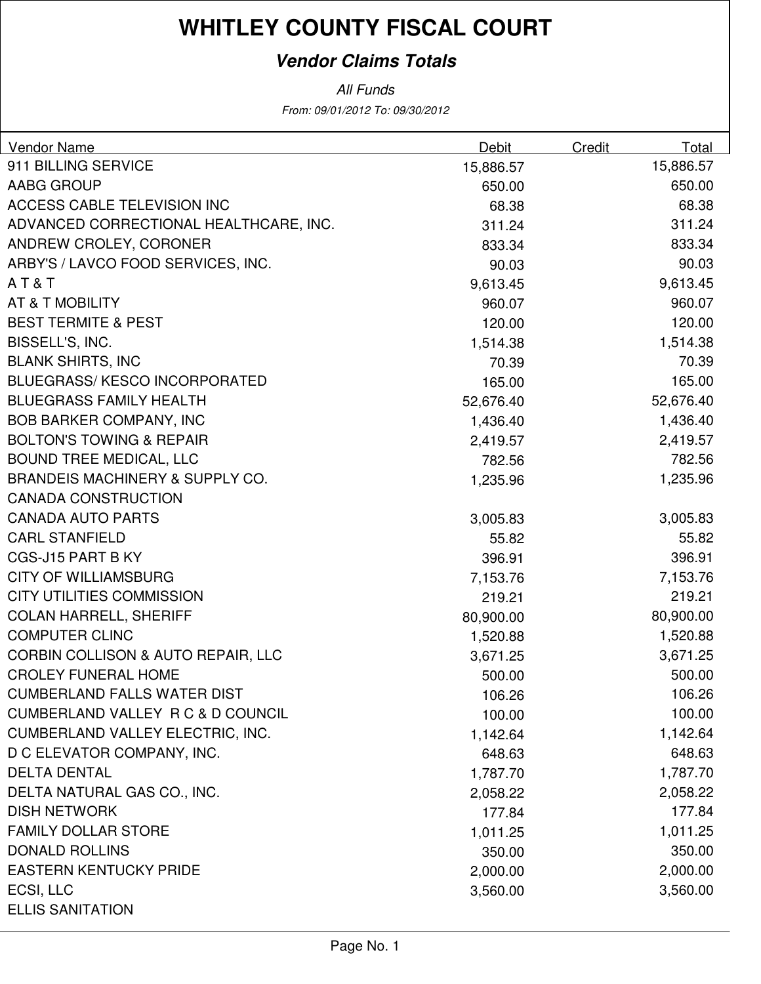#### **Vendor Claims Totals**

From: 09/01/2012 To: 09/30/2012 All Funds

| Vendor Name                                   | Debit     | Credit | Total     |
|-----------------------------------------------|-----------|--------|-----------|
| 911 BILLING SERVICE                           | 15,886.57 |        | 15,886.57 |
| <b>AABG GROUP</b>                             | 650.00    |        | 650.00    |
| ACCESS CABLE TELEVISION INC                   | 68.38     |        | 68.38     |
| ADVANCED CORRECTIONAL HEALTHCARE, INC.        | 311.24    |        | 311.24    |
| ANDREW CROLEY, CORONER                        | 833.34    |        | 833.34    |
| ARBY'S / LAVCO FOOD SERVICES, INC.            | 90.03     |        | 90.03     |
| AT&T                                          | 9,613.45  |        | 9,613.45  |
| AT & T MOBILITY                               | 960.07    |        | 960.07    |
| <b>BEST TERMITE &amp; PEST</b>                | 120.00    |        | 120.00    |
| BISSELL'S, INC.                               | 1,514.38  |        | 1,514.38  |
| <b>BLANK SHIRTS, INC</b>                      | 70.39     |        | 70.39     |
| <b>BLUEGRASS/KESCO INCORPORATED</b>           | 165.00    |        | 165.00    |
| <b>BLUEGRASS FAMILY HEALTH</b>                | 52,676.40 |        | 52,676.40 |
| <b>BOB BARKER COMPANY, INC</b>                | 1,436.40  |        | 1,436.40  |
| <b>BOLTON'S TOWING &amp; REPAIR</b>           | 2,419.57  |        | 2,419.57  |
| <b>BOUND TREE MEDICAL, LLC</b>                | 782.56    |        | 782.56    |
| <b>BRANDEIS MACHINERY &amp; SUPPLY CO.</b>    | 1,235.96  |        | 1,235.96  |
| <b>CANADA CONSTRUCTION</b>                    |           |        |           |
| <b>CANADA AUTO PARTS</b>                      | 3,005.83  |        | 3,005.83  |
| <b>CARL STANFIELD</b>                         | 55.82     |        | 55.82     |
| CGS-J15 PART B KY                             | 396.91    |        | 396.91    |
| <b>CITY OF WILLIAMSBURG</b>                   | 7,153.76  |        | 7,153.76  |
| <b>CITY UTILITIES COMMISSION</b>              | 219.21    |        | 219.21    |
| <b>COLAN HARRELL, SHERIFF</b>                 | 80,900.00 |        | 80,900.00 |
| <b>COMPUTER CLINC</b>                         | 1,520.88  |        | 1,520.88  |
| <b>CORBIN COLLISON &amp; AUTO REPAIR, LLC</b> | 3,671.25  |        | 3,671.25  |
| <b>CROLEY FUNERAL HOME</b>                    | 500.00    |        | 500.00    |
| <b>CUMBERLAND FALLS WATER DIST</b>            | 106.26    |        | 106.26    |
| CUMBERLAND VALLEY R C & D COUNCIL             | 100.00    |        | 100.00    |
| <b>CUMBERLAND VALLEY ELECTRIC, INC.</b>       | 1,142.64  |        | 1,142.64  |
| D C ELEVATOR COMPANY, INC.                    | 648.63    |        | 648.63    |
| <b>DELTA DENTAL</b>                           | 1,787.70  |        | 1,787.70  |
| DELTA NATURAL GAS CO., INC.                   | 2,058.22  |        | 2,058.22  |
| <b>DISH NETWORK</b>                           | 177.84    |        | 177.84    |
| <b>FAMILY DOLLAR STORE</b>                    | 1,011.25  |        | 1,011.25  |
| <b>DONALD ROLLINS</b>                         | 350.00    |        | 350.00    |
| <b>EASTERN KENTUCKY PRIDE</b>                 | 2,000.00  |        | 2,000.00  |
| ECSI, LLC                                     | 3,560.00  |        | 3,560.00  |
| <b>ELLIS SANITATION</b>                       |           |        |           |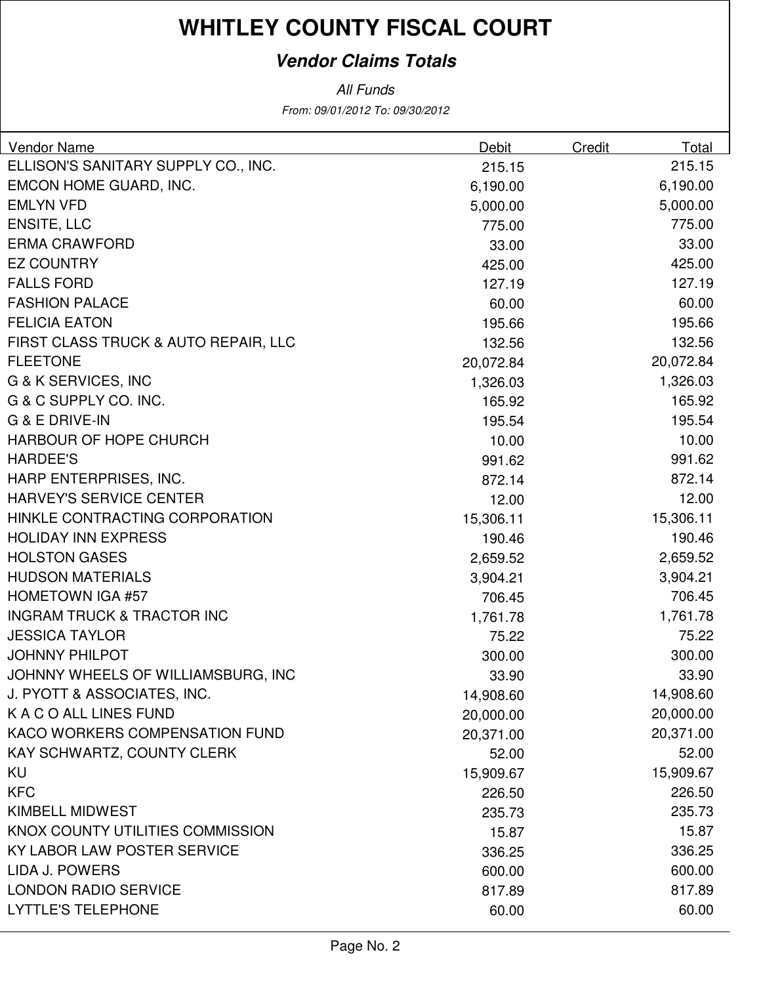#### **Vendor Claims Totals**

All Funds

From: 09/01/2012 To: 09/30/2012

| Vendor Name                           | <b>Debit</b> | <b>Credit</b> | <b>Total</b> |
|---------------------------------------|--------------|---------------|--------------|
| ELLISON'S SANITARY SUPPLY CO., INC.   | 215.15       |               | 215.15       |
| EMCON HOME GUARD, INC.                | 6,190.00     |               | 6,190.00     |
| <b>EMLYN VFD</b>                      | 5,000.00     |               | 5,000.00     |
| <b>ENSITE, LLC</b>                    | 775.00       |               | 775.00       |
| <b>ERMA CRAWFORD</b>                  | 33.00        |               | 33.00        |
| <b>EZ COUNTRY</b>                     | 425.00       |               | 425.00       |
| <b>FALLS FORD</b>                     | 127.19       |               | 127.19       |
| <b>FASHION PALACE</b>                 | 60.00        |               | 60.00        |
| <b>FELICIA EATON</b>                  | 195.66       |               | 195.66       |
| FIRST CLASS TRUCK & AUTO REPAIR, LLC  | 132.56       |               | 132.56       |
| <b>FLEETONE</b>                       | 20,072.84    |               | 20,072.84    |
| G & K SERVICES, INC                   | 1,326.03     |               | 1,326.03     |
| G & C SUPPLY CO. INC.                 | 165.92       |               | 165.92       |
| G & E DRIVE-IN                        | 195.54       |               | 195.54       |
| HARBOUR OF HOPE CHURCH                | 10.00        |               | 10.00        |
| <b>HARDEE'S</b>                       | 991.62       |               | 991.62       |
| HARP ENTERPRISES, INC.                | 872.14       |               | 872.14       |
| <b>HARVEY'S SERVICE CENTER</b>        | 12.00        |               | 12.00        |
| HINKLE CONTRACTING CORPORATION        | 15,306.11    |               | 15,306.11    |
| <b>HOLIDAY INN EXPRESS</b>            | 190.46       |               | 190.46       |
| <b>HOLSTON GASES</b>                  | 2,659.52     |               | 2,659.52     |
| <b>HUDSON MATERIALS</b>               | 3,904.21     |               | 3,904.21     |
| <b>HOMETOWN IGA #57</b>               | 706.45       |               | 706.45       |
| <b>INGRAM TRUCK &amp; TRACTOR INC</b> | 1,761.78     |               | 1,761.78     |
| <b>JESSICA TAYLOR</b>                 | 75.22        |               | 75.22        |
| <b>JOHNNY PHILPOT</b>                 | 300.00       |               | 300.00       |
| JOHNNY WHEELS OF WILLIAMSBURG, INC    | 33.90        |               | 33.90        |
| J. PYOTT & ASSOCIATES, INC.           | 14,908.60    |               | 14,908.60    |
| K A C O ALL LINES FUND                | 20,000.00    |               | 20,000.00    |
| KACO WORKERS COMPENSATION FUND        | 20,371.00    |               | 20,371.00    |
| KAY SCHWARTZ, COUNTY CLERK            | 52.00        |               | 52.00        |
| KU                                    | 15,909.67    |               | 15,909.67    |
| <b>KFC</b>                            | 226.50       |               | 226.50       |
| <b>KIMBELL MIDWEST</b>                | 235.73       |               | 235.73       |
| KNOX COUNTY UTILITIES COMMISSION      | 15.87        |               | 15.87        |
| KY LABOR LAW POSTER SERVICE           | 336.25       |               | 336.25       |
| LIDA J. POWERS                        | 600.00       |               | 600.00       |
| <b>LONDON RADIO SERVICE</b>           | 817.89       |               | 817.89       |
| <b>LYTTLE'S TELEPHONE</b>             | 60.00        |               | 60.00        |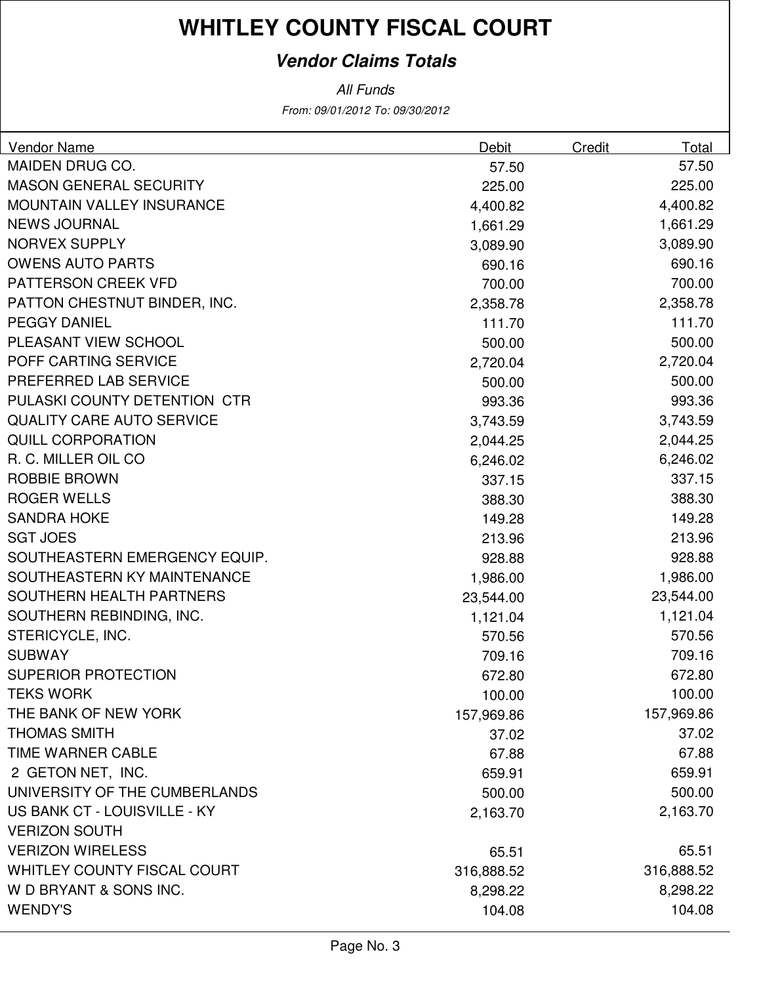#### **Vendor Claims Totals**

From: 09/01/2012 To: 09/30/2012 All Funds

| MAIDEN DRUG CO.<br>57.50<br>57.50<br><b>MASON GENERAL SECURITY</b><br>225.00<br>225.00<br><b>MOUNTAIN VALLEY INSURANCE</b><br>4,400.82<br>4,400.82<br><b>NEWS JOURNAL</b><br>1,661.29<br>1,661.29<br><b>NORVEX SUPPLY</b><br>3,089.90<br>3,089.90<br><b>OWENS AUTO PARTS</b><br>690.16<br>690.16<br>PATTERSON CREEK VFD<br>700.00<br>700.00<br>PATTON CHESTNUT BINDER, INC.<br>2,358.78<br>2,358.78<br><b>PEGGY DANIEL</b><br>111.70<br>111.70<br>PLEASANT VIEW SCHOOL<br>500.00<br>500.00<br>POFF CARTING SERVICE<br>2,720.04<br>2,720.04<br>PREFERRED LAB SERVICE<br>500.00<br>500.00<br>PULASKI COUNTY DETENTION CTR<br>993.36<br>993.36<br><b>QUALITY CARE AUTO SERVICE</b><br>3,743.59<br>3,743.59<br><b>QUILL CORPORATION</b><br>2,044.25<br>2,044.25<br>R. C. MILLER OIL CO.<br>6,246.02<br>6,246.02<br>ROBBIE BROWN<br>337.15<br>337.15<br><b>ROGER WELLS</b><br>388.30<br>388.30<br><b>SANDRA HOKE</b><br>149.28<br>149.28<br><b>SGT JOES</b><br>213.96<br>213.96<br>SOUTHEASTERN EMERGENCY EQUIP.<br>928.88<br>928.88<br>SOUTHEASTERN KY MAINTENANCE<br>1,986.00<br>1,986.00<br>SOUTHERN HEALTH PARTNERS<br>23,544.00<br>23,544.00<br>SOUTHERN REBINDING, INC.<br>1,121.04<br>1,121.04<br>STERICYCLE, INC.<br>570.56<br>570.56<br><b>SUBWAY</b><br>709.16<br>709.16<br><b>SUPERIOR PROTECTION</b><br>672.80<br>672.80<br><b>TEKS WORK</b><br>100.00<br>100.00<br>THE BANK OF NEW YORK<br>157,969.86<br>157,969.86<br><b>THOMAS SMITH</b><br>37.02<br>37.02 | Vendor Name       | Debit | Credit | Total |
|----------------------------------------------------------------------------------------------------------------------------------------------------------------------------------------------------------------------------------------------------------------------------------------------------------------------------------------------------------------------------------------------------------------------------------------------------------------------------------------------------------------------------------------------------------------------------------------------------------------------------------------------------------------------------------------------------------------------------------------------------------------------------------------------------------------------------------------------------------------------------------------------------------------------------------------------------------------------------------------------------------------------------------------------------------------------------------------------------------------------------------------------------------------------------------------------------------------------------------------------------------------------------------------------------------------------------------------------------------------------------------------------------------------------------------------------------------------------|-------------------|-------|--------|-------|
|                                                                                                                                                                                                                                                                                                                                                                                                                                                                                                                                                                                                                                                                                                                                                                                                                                                                                                                                                                                                                                                                                                                                                                                                                                                                                                                                                                                                                                                                      |                   |       |        |       |
|                                                                                                                                                                                                                                                                                                                                                                                                                                                                                                                                                                                                                                                                                                                                                                                                                                                                                                                                                                                                                                                                                                                                                                                                                                                                                                                                                                                                                                                                      |                   |       |        |       |
|                                                                                                                                                                                                                                                                                                                                                                                                                                                                                                                                                                                                                                                                                                                                                                                                                                                                                                                                                                                                                                                                                                                                                                                                                                                                                                                                                                                                                                                                      |                   |       |        |       |
|                                                                                                                                                                                                                                                                                                                                                                                                                                                                                                                                                                                                                                                                                                                                                                                                                                                                                                                                                                                                                                                                                                                                                                                                                                                                                                                                                                                                                                                                      |                   |       |        |       |
|                                                                                                                                                                                                                                                                                                                                                                                                                                                                                                                                                                                                                                                                                                                                                                                                                                                                                                                                                                                                                                                                                                                                                                                                                                                                                                                                                                                                                                                                      |                   |       |        |       |
|                                                                                                                                                                                                                                                                                                                                                                                                                                                                                                                                                                                                                                                                                                                                                                                                                                                                                                                                                                                                                                                                                                                                                                                                                                                                                                                                                                                                                                                                      |                   |       |        |       |
|                                                                                                                                                                                                                                                                                                                                                                                                                                                                                                                                                                                                                                                                                                                                                                                                                                                                                                                                                                                                                                                                                                                                                                                                                                                                                                                                                                                                                                                                      |                   |       |        |       |
|                                                                                                                                                                                                                                                                                                                                                                                                                                                                                                                                                                                                                                                                                                                                                                                                                                                                                                                                                                                                                                                                                                                                                                                                                                                                                                                                                                                                                                                                      |                   |       |        |       |
|                                                                                                                                                                                                                                                                                                                                                                                                                                                                                                                                                                                                                                                                                                                                                                                                                                                                                                                                                                                                                                                                                                                                                                                                                                                                                                                                                                                                                                                                      |                   |       |        |       |
|                                                                                                                                                                                                                                                                                                                                                                                                                                                                                                                                                                                                                                                                                                                                                                                                                                                                                                                                                                                                                                                                                                                                                                                                                                                                                                                                                                                                                                                                      |                   |       |        |       |
|                                                                                                                                                                                                                                                                                                                                                                                                                                                                                                                                                                                                                                                                                                                                                                                                                                                                                                                                                                                                                                                                                                                                                                                                                                                                                                                                                                                                                                                                      |                   |       |        |       |
|                                                                                                                                                                                                                                                                                                                                                                                                                                                                                                                                                                                                                                                                                                                                                                                                                                                                                                                                                                                                                                                                                                                                                                                                                                                                                                                                                                                                                                                                      |                   |       |        |       |
|                                                                                                                                                                                                                                                                                                                                                                                                                                                                                                                                                                                                                                                                                                                                                                                                                                                                                                                                                                                                                                                                                                                                                                                                                                                                                                                                                                                                                                                                      |                   |       |        |       |
|                                                                                                                                                                                                                                                                                                                                                                                                                                                                                                                                                                                                                                                                                                                                                                                                                                                                                                                                                                                                                                                                                                                                                                                                                                                                                                                                                                                                                                                                      |                   |       |        |       |
|                                                                                                                                                                                                                                                                                                                                                                                                                                                                                                                                                                                                                                                                                                                                                                                                                                                                                                                                                                                                                                                                                                                                                                                                                                                                                                                                                                                                                                                                      |                   |       |        |       |
|                                                                                                                                                                                                                                                                                                                                                                                                                                                                                                                                                                                                                                                                                                                                                                                                                                                                                                                                                                                                                                                                                                                                                                                                                                                                                                                                                                                                                                                                      |                   |       |        |       |
|                                                                                                                                                                                                                                                                                                                                                                                                                                                                                                                                                                                                                                                                                                                                                                                                                                                                                                                                                                                                                                                                                                                                                                                                                                                                                                                                                                                                                                                                      |                   |       |        |       |
|                                                                                                                                                                                                                                                                                                                                                                                                                                                                                                                                                                                                                                                                                                                                                                                                                                                                                                                                                                                                                                                                                                                                                                                                                                                                                                                                                                                                                                                                      |                   |       |        |       |
|                                                                                                                                                                                                                                                                                                                                                                                                                                                                                                                                                                                                                                                                                                                                                                                                                                                                                                                                                                                                                                                                                                                                                                                                                                                                                                                                                                                                                                                                      |                   |       |        |       |
|                                                                                                                                                                                                                                                                                                                                                                                                                                                                                                                                                                                                                                                                                                                                                                                                                                                                                                                                                                                                                                                                                                                                                                                                                                                                                                                                                                                                                                                                      |                   |       |        |       |
|                                                                                                                                                                                                                                                                                                                                                                                                                                                                                                                                                                                                                                                                                                                                                                                                                                                                                                                                                                                                                                                                                                                                                                                                                                                                                                                                                                                                                                                                      |                   |       |        |       |
|                                                                                                                                                                                                                                                                                                                                                                                                                                                                                                                                                                                                                                                                                                                                                                                                                                                                                                                                                                                                                                                                                                                                                                                                                                                                                                                                                                                                                                                                      |                   |       |        |       |
|                                                                                                                                                                                                                                                                                                                                                                                                                                                                                                                                                                                                                                                                                                                                                                                                                                                                                                                                                                                                                                                                                                                                                                                                                                                                                                                                                                                                                                                                      |                   |       |        |       |
|                                                                                                                                                                                                                                                                                                                                                                                                                                                                                                                                                                                                                                                                                                                                                                                                                                                                                                                                                                                                                                                                                                                                                                                                                                                                                                                                                                                                                                                                      |                   |       |        |       |
|                                                                                                                                                                                                                                                                                                                                                                                                                                                                                                                                                                                                                                                                                                                                                                                                                                                                                                                                                                                                                                                                                                                                                                                                                                                                                                                                                                                                                                                                      |                   |       |        |       |
|                                                                                                                                                                                                                                                                                                                                                                                                                                                                                                                                                                                                                                                                                                                                                                                                                                                                                                                                                                                                                                                                                                                                                                                                                                                                                                                                                                                                                                                                      |                   |       |        |       |
|                                                                                                                                                                                                                                                                                                                                                                                                                                                                                                                                                                                                                                                                                                                                                                                                                                                                                                                                                                                                                                                                                                                                                                                                                                                                                                                                                                                                                                                                      |                   |       |        |       |
|                                                                                                                                                                                                                                                                                                                                                                                                                                                                                                                                                                                                                                                                                                                                                                                                                                                                                                                                                                                                                                                                                                                                                                                                                                                                                                                                                                                                                                                                      |                   |       |        |       |
|                                                                                                                                                                                                                                                                                                                                                                                                                                                                                                                                                                                                                                                                                                                                                                                                                                                                                                                                                                                                                                                                                                                                                                                                                                                                                                                                                                                                                                                                      |                   |       |        |       |
|                                                                                                                                                                                                                                                                                                                                                                                                                                                                                                                                                                                                                                                                                                                                                                                                                                                                                                                                                                                                                                                                                                                                                                                                                                                                                                                                                                                                                                                                      |                   |       |        |       |
|                                                                                                                                                                                                                                                                                                                                                                                                                                                                                                                                                                                                                                                                                                                                                                                                                                                                                                                                                                                                                                                                                                                                                                                                                                                                                                                                                                                                                                                                      | TIME WARNER CABLE | 67.88 |        | 67.88 |
| 2 GETON NET, INC.<br>659.91<br>659.91                                                                                                                                                                                                                                                                                                                                                                                                                                                                                                                                                                                                                                                                                                                                                                                                                                                                                                                                                                                                                                                                                                                                                                                                                                                                                                                                                                                                                                |                   |       |        |       |
| UNIVERSITY OF THE CUMBERLANDS<br>500.00<br>500.00                                                                                                                                                                                                                                                                                                                                                                                                                                                                                                                                                                                                                                                                                                                                                                                                                                                                                                                                                                                                                                                                                                                                                                                                                                                                                                                                                                                                                    |                   |       |        |       |
| US BANK CT - LOUISVILLE - KY<br>2,163.70<br>2,163.70                                                                                                                                                                                                                                                                                                                                                                                                                                                                                                                                                                                                                                                                                                                                                                                                                                                                                                                                                                                                                                                                                                                                                                                                                                                                                                                                                                                                                 |                   |       |        |       |
| <b>VERIZON SOUTH</b>                                                                                                                                                                                                                                                                                                                                                                                                                                                                                                                                                                                                                                                                                                                                                                                                                                                                                                                                                                                                                                                                                                                                                                                                                                                                                                                                                                                                                                                 |                   |       |        |       |
| <b>VERIZON WIRELESS</b><br>65.51<br>65.51                                                                                                                                                                                                                                                                                                                                                                                                                                                                                                                                                                                                                                                                                                                                                                                                                                                                                                                                                                                                                                                                                                                                                                                                                                                                                                                                                                                                                            |                   |       |        |       |
| <b>WHITLEY COUNTY FISCAL COURT</b><br>316,888.52<br>316,888.52                                                                                                                                                                                                                                                                                                                                                                                                                                                                                                                                                                                                                                                                                                                                                                                                                                                                                                                                                                                                                                                                                                                                                                                                                                                                                                                                                                                                       |                   |       |        |       |
| W D BRYANT & SONS INC.<br>8,298.22<br>8,298.22                                                                                                                                                                                                                                                                                                                                                                                                                                                                                                                                                                                                                                                                                                                                                                                                                                                                                                                                                                                                                                                                                                                                                                                                                                                                                                                                                                                                                       |                   |       |        |       |
| <b>WENDY'S</b><br>104.08<br>104.08                                                                                                                                                                                                                                                                                                                                                                                                                                                                                                                                                                                                                                                                                                                                                                                                                                                                                                                                                                                                                                                                                                                                                                                                                                                                                                                                                                                                                                   |                   |       |        |       |